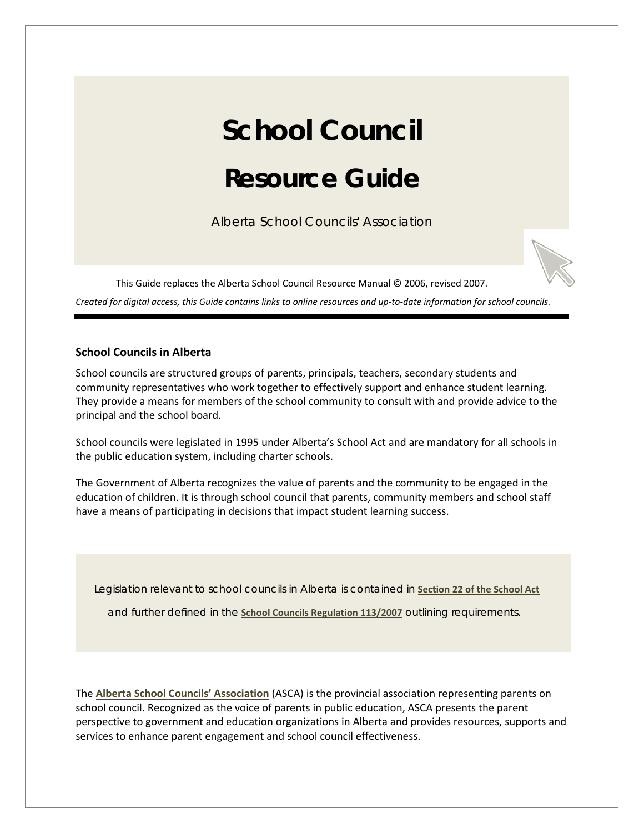# **School Council Resource Guide**

Alberta School Councils' Association

This Guide replaces the Alberta School Council Resource Manual © 2006, revised 2007.

*Created for digital access, this Guide contains links to online resources and up-to-date information for school councils.*

# **School Councils in Alberta**

School councils are structured groups of parents, principals, teachers, secondary students and community representatives who work together to effectively support and enhance student learning. They provide a means for members of the school community to consult with and provide advice to the principal and the school board.

School councils were legislated in 1995 under Alberta's School Act and are mandatory for all schools in the public education system, including charter schools.

The Government of Alberta recognizes the value of parents and the community to be engaged in the education of children. It is through school council that parents, community members and school staff have a means of participating in decisions that impact student learning success.

Legislation relevant to school councils in Alberta is contained in **[Section 22 of the School Act](http://www.albertaschoolcouncils.ca/resource/resmgr/SCR_GUIDE/School_Act.doc)**

and further defined in the **[School Councils Regulation 113/2007](http://www.albertaschoolcouncils.ca/resource/resmgr/SCR_GUIDE/School_Councils_Regulation.doc)** outlining requirements.

The **[Alberta School Councils' Association](http://www.albertaschoolcouncils.ca/)** (ASCA) is the provincial association representing parents on school council. Recognized as the voice of parents in public education, ASCA presents the parent perspective to government and education organizations in Alberta and provides resources, supports and services to enhance parent engagement and school council effectiveness.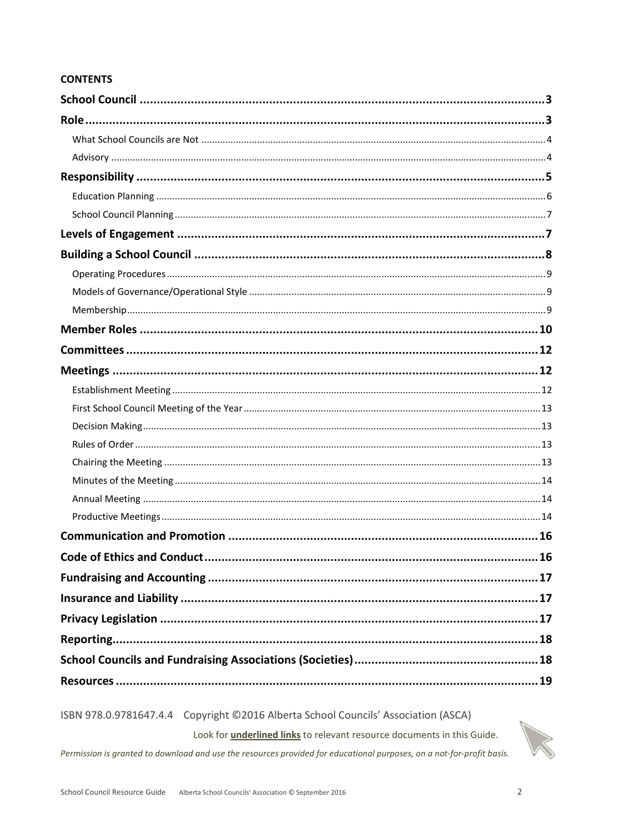# **CONTENTS**

ISBN 978.0.9781647.4.4 Copyright ©2016 Alberta School Councils' Association (ASCA)

Look for *underlined links* to relevant resource documents in this Guide.

Permission is granted to download and use the resources provided for educational purposes, on a not-for-profit basis.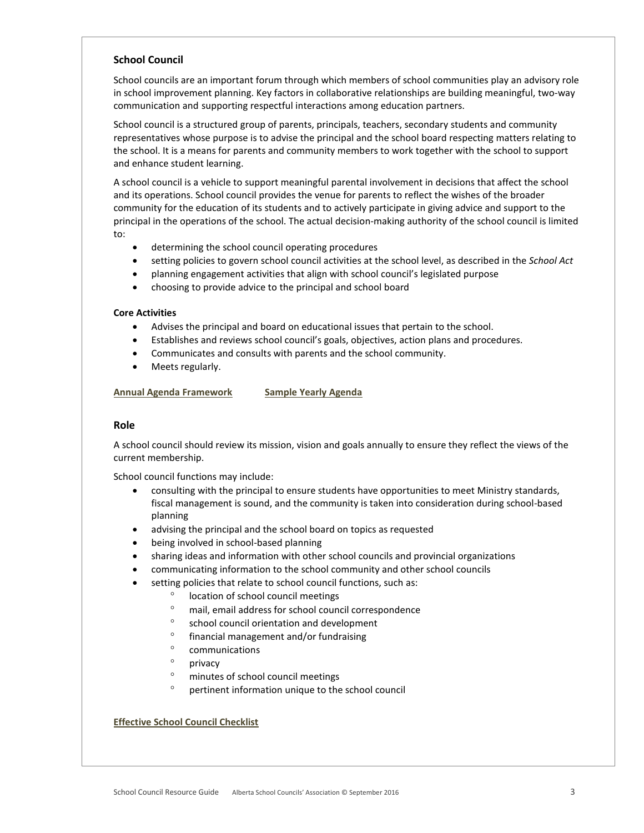# <span id="page-2-0"></span>**School Council**

School councils are an important forum through which members of school communities play an advisory role in school improvement planning. Key factors in collaborative relationships are building meaningful, two-way communication and supporting respectful interactions among education partners.

School council is a structured group of parents, principals, teachers, secondary students and community representatives whose purpose is to advise the principal and the school board respecting matters relating to the school. It is a means for parents and community members to work together with the school to support and enhance student learning.

A school council is a vehicle to support meaningful parental involvement in decisions that affect the school and its operations. School council provides the venue for parents to reflect the wishes of the broader community for the education of its students and to actively participate in giving advice and support to the principal in the operations of the school. The actual decision-making authority of the school council is limited to:

- determining the school council operating procedures
- setting policies to govern school council activities at the school level, as described in the *School Act*
- planning engagement activities that align with school council's legislated purpose
- choosing to provide advice to the principal and school board

## **Core Activities**

- Advises the principal and board on educational issues that pertain to the school.
- Establishes and reviews school council's goals, objectives, action plans and procedures.
- Communicates and consults with parents and the school community.
- Meets regularly.

## **[Annual Agenda Framework](http://www.albertaschoolcouncils.ca/resource/resmgr/SCR_GUIDE/Annual_Agenda_Framework.doc) [Sample Yearly Agenda](http://www.albertaschoolcouncils.ca/resource/resmgr/SCR_GUIDE/Sample_Yearly_Agenda.doc)**

## <span id="page-2-1"></span>**Role**

A school council should review its mission, vision and goals annually to ensure they reflect the views of the current membership.

School council functions may include:

- consulting with the principal to ensure students have opportunities to meet Ministry standards, fiscal management is sound, and the community is taken into consideration during school-based planning
- advising the principal and the school board on topics as requested
- being involved in school-based planning
- sharing ideas and information with other school councils and provincial organizations
- communicating information to the school community and other school councils
- setting policies that relate to school council functions, such as:
	- location of school council meetings
	- ° mail, email address for school council correspondence
	- ° school council orientation and development
	- ° financial management and/or fundraising
	- ° communications
	- ° privacy
	- ° minutes of school council meetings
	- ° pertinent information unique to the school council

**[Effective School Council Checklist](http://www.albertaschoolcouncils.ca/resource/resmgr/SCR_GUIDE/Effective_SC_Checklist__.doc)**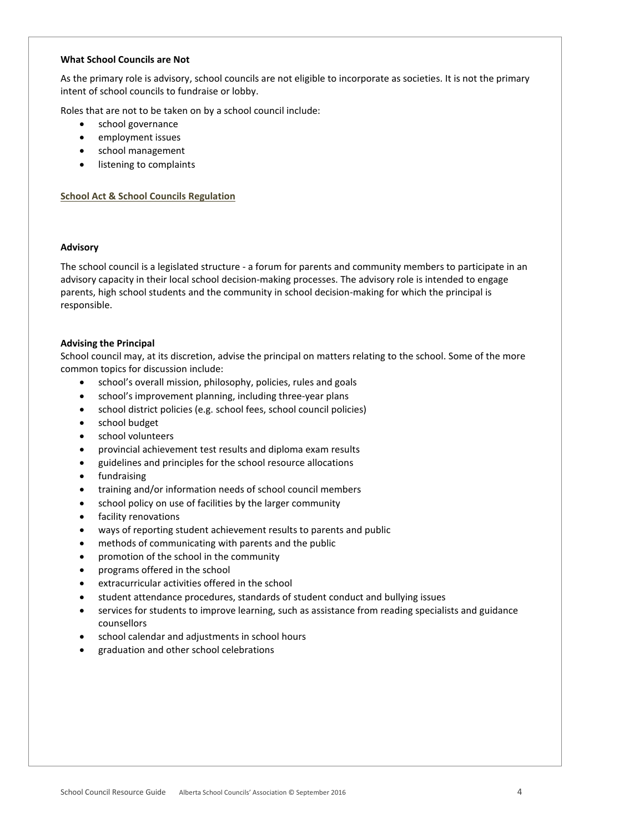#### <span id="page-3-0"></span>**What School Councils are Not**

As the primary role is advisory, school councils are not eligible to incorporate as societies. It is not the primary intent of school councils to fundraise or lobby.

Roles that are not to be taken on by a school council include:

- school governance
- employment issues
- school management
- listening to complaints

## **[School Act & School Councils Regulation](http://www.albertaschoolcouncils.ca/resource/resmgr/SCR_GUIDE/School_Act_&_Regulations.doc)**

## <span id="page-3-1"></span>**Advisory**

The school council is a legislated structure - a forum for parents and community members to participate in an advisory capacity in their local school decision-making processes. The advisory role is intended to engage parents, high school students and the community in school decision-making for which the principal is responsible.

## **Advising the Principal**

School council may, at its discretion, advise the principal on matters relating to the school. Some of the more common topics for discussion include:

- school's overall mission, philosophy, policies, rules and goals
- school's improvement planning, including three-year plans
- school district policies (e.g. school fees, school council policies)
- school budget
- school volunteers
- provincial achievement test results and diploma exam results
- guidelines and principles for the school resource allocations
- fundraising
- training and/or information needs of school council members
- school policy on use of facilities by the larger community
- facility renovations
- ways of reporting student achievement results to parents and public
- methods of communicating with parents and the public
- promotion of the school in the community
- programs offered in the school
- extracurricular activities offered in the school
- student attendance procedures, standards of student conduct and bullying issues
- services for students to improve learning, such as assistance from reading specialists and guidance counsellors
- school calendar and adjustments in school hours
- graduation and other school celebrations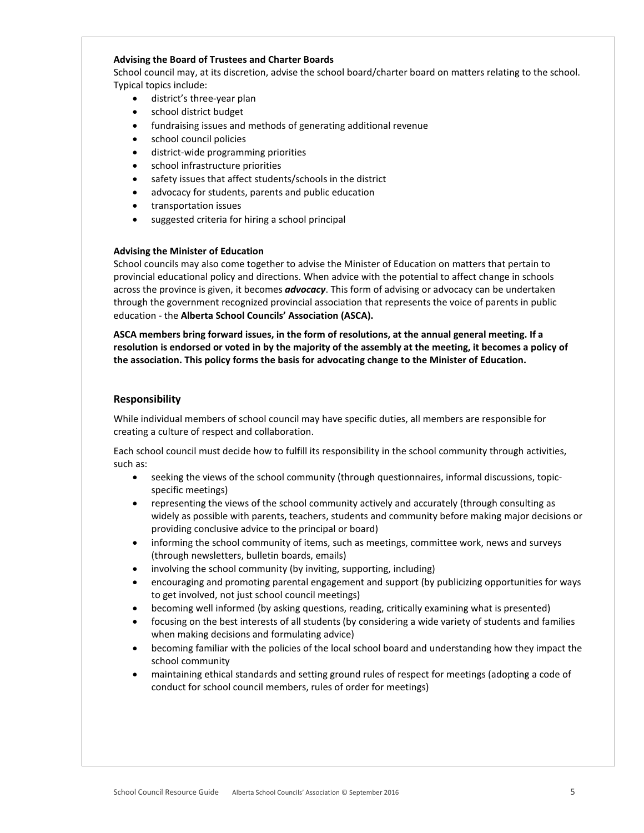## **Advising the Board of Trustees and Charter Boards**

School council may, at its discretion, advise the school board/charter board on matters relating to the school. Typical topics include:

- district's three-year plan
- school district budget
- fundraising issues and methods of generating additional revenue
- school council policies
- district-wide programming priorities
- school infrastructure priorities
- safety issues that affect students/schools in the district
- advocacy for students, parents and public education
- transportation issues
- suggested criteria for hiring a school principal

## **Advising the Minister of Education**

School councils may also come together to advise the Minister of Education on matters that pertain to provincial educational policy and directions. When advice with the potential to affect change in schools across the province is given, it becomes *advocacy*. This form of advising or advocacy can be undertaken through the government recognized provincial association that represents the voice of parents in public education - the **Alberta School Councils' Association (ASCA).**

**ASCA members bring forward issues, in the form of resolutions, at the annual general meeting. If a resolution is endorsed or voted in by the majority of the assembly at the meeting, it becomes a policy of the association. This policy forms the basis for advocating change to the Minister of Education.**

# <span id="page-4-0"></span>**Responsibility**

While individual members of school council may have specific duties, all members are responsible for creating a culture of respect and collaboration.

Each school council must decide how to fulfill its responsibility in the school community through activities, such as:

- seeking the views of the school community (through questionnaires, informal discussions, topicspecific meetings)
- representing the views of the school community actively and accurately (through consulting as widely as possible with parents, teachers, students and community before making major decisions or providing conclusive advice to the principal or board)
- informing the school community of items, such as meetings, committee work, news and surveys (through newsletters, bulletin boards, emails)
- involving the school community (by inviting, supporting, including)
- encouraging and promoting parental engagement and support (by publicizing opportunities for ways to get involved, not just school council meetings)
- becoming well informed (by asking questions, reading, critically examining what is presented)
- focusing on the best interests of all students (by considering a wide variety of students and families when making decisions and formulating advice)
- becoming familiar with the policies of the local school board and understanding how they impact the school community
- maintaining ethical standards and setting ground rules of respect for meetings (adopting a code of conduct for school council members, rules of order for meetings)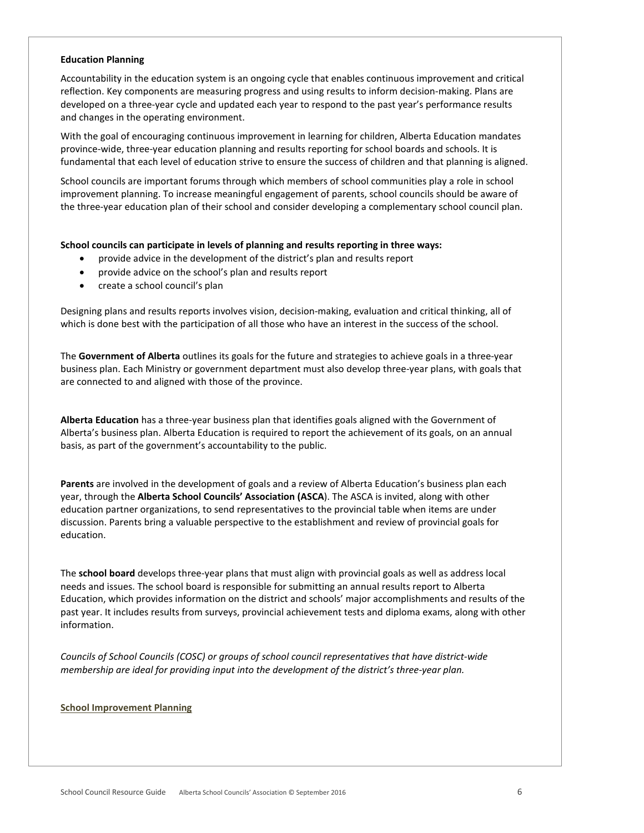#### <span id="page-5-0"></span>**Education Planning**

Accountability in the education system is an ongoing cycle that enables continuous improvement and critical reflection. Key components are measuring progress and using results to inform decision-making. Plans are developed on a three-year cycle and updated each year to respond to the past year's performance results and changes in the operating environment.

With the goal of encouraging continuous improvement in learning for children, Alberta Education mandates province-wide, three-year education planning and results reporting for school boards and schools. It is fundamental that each level of education strive to ensure the success of children and that planning is aligned.

School councils are important forums through which members of school communities play a role in school improvement planning. To increase meaningful engagement of parents, school councils should be aware of the three-year education plan of their school and consider developing a complementary school council plan.

## **School councils can participate in levels of planning and results reporting in three ways:**

- provide advice in the development of the district's plan and results report
- provide advice on the school's plan and results report
- create a school council's plan

Designing plans and results reports involves vision, decision-making, evaluation and critical thinking, all of which is done best with the participation of all those who have an interest in the success of the school.

The **Government of Alberta** outlines its goals for the future and strategies to achieve goals in a three-year business plan. Each Ministry or government department must also develop three-year plans, with goals that are connected to and aligned with those of the province.

**Alberta Education** has a three-year business plan that identifies goals aligned with the Government of Alberta's business plan. Alberta Education is required to report the achievement of its goals, on an annual basis, as part of the government's accountability to the public.

**Parents** are involved in the development of goals and a review of Alberta Education's business plan each year, through the **Alberta School Councils' Association (ASCA**). The ASCA is invited, along with other education partner organizations, to send representatives to the provincial table when items are under discussion. Parents bring a valuable perspective to the establishment and review of provincial goals for education.

The **school board** develops three-year plans that must align with provincial goals as well as address local needs and issues. The school board is responsible for submitting an annual results report to Alberta Education, which provides information on the district and schools' major accomplishments and results of the past year. It includes results from surveys, provincial achievement tests and diploma exams, along with other information.

*Councils of School Councils (COSC) or groups of school council representatives that have district-wide membership are ideal for providing input into the development of the district's three-year plan.*

#### **[School Improvement Planning](http://www.albertaschoolcouncils.ca/resource/resmgr/SCR_GUIDE/School_Improvement_Planning.doc)**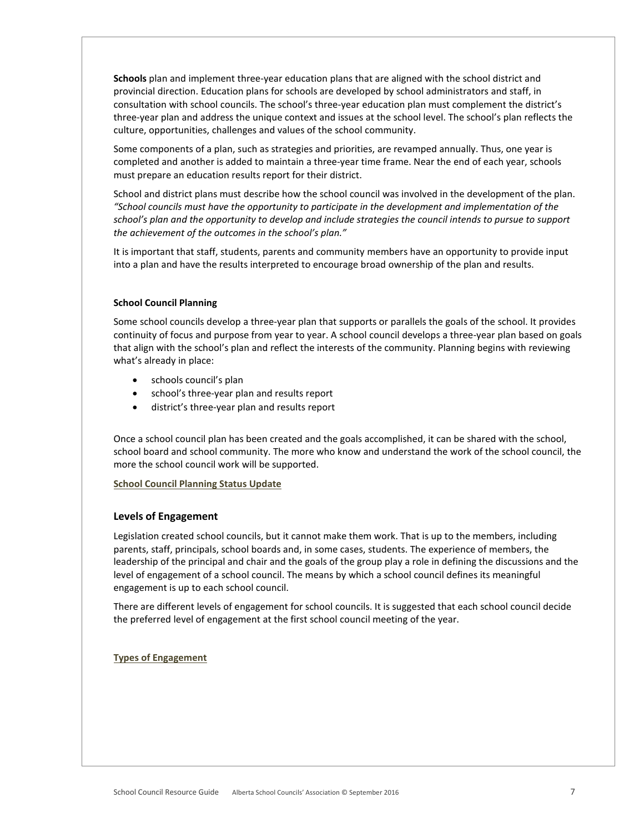**Schools** plan and implement three-year education plans that are aligned with the school district and provincial direction. Education plans for schools are developed by school administrators and staff, in consultation with school councils. The school's three-year education plan must complement the district's three-year plan and address the unique context and issues at the school level. The school's plan reflects the culture, opportunities, challenges and values of the school community.

Some components of a plan, such as strategies and priorities, are revamped annually. Thus, one year is completed and another is added to maintain a three-year time frame. Near the end of each year, schools must prepare an education results report for their district.

School and district plans must describe how the school council was involved in the development of the plan. *"School councils must have the opportunity to participate in the development and implementation of the school's plan and the opportunity to develop and include strategies the council intends to pursue to support the achievement of the outcomes in the school's plan."*

It is important that staff, students, parents and community members have an opportunity to provide input into a plan and have the results interpreted to encourage broad ownership of the plan and results.

## <span id="page-6-0"></span>**School Council Planning**

Some school councils develop a three-year plan that supports or parallels the goals of the school. It provides continuity of focus and purpose from year to year. A school council develops a three-year plan based on goals that align with the school's plan and reflect the interests of the community. Planning begins with reviewing what's already in place:

- schools council's plan
- school's three-year plan and results report
- district's three-year plan and results report

Once a school council plan has been created and the goals accomplished, it can be shared with the school, school board and school community. The more who know and understand the work of the school council, the more the school council work will be supported.

## **School Council [Planning Status Update](http://www.albertaschoolcouncils.ca/resource/resmgr/SCR_GUIDE/SC_Planning_Status_Update.doc)**

## <span id="page-6-1"></span>**Levels of Engagement**

Legislation created school councils, but it cannot make them work. That is up to the members, including parents, staff, principals, school boards and, in some cases, students. The experience of members, the leadership of the principal and chair and the goals of the group play a role in defining the discussions and the level of engagement of a school council. The means by which a school council defines its meaningful engagement is up to each school council.

There are different levels of engagement for school councils. It is suggested that each school council decide the preferred level of engagement at the first school council meeting of the year.

## **[Types of Engagement](http://www.albertaschoolcouncils.ca/resource/resmgr/SCR_GUIDE/Types_of_Engagement.doc)**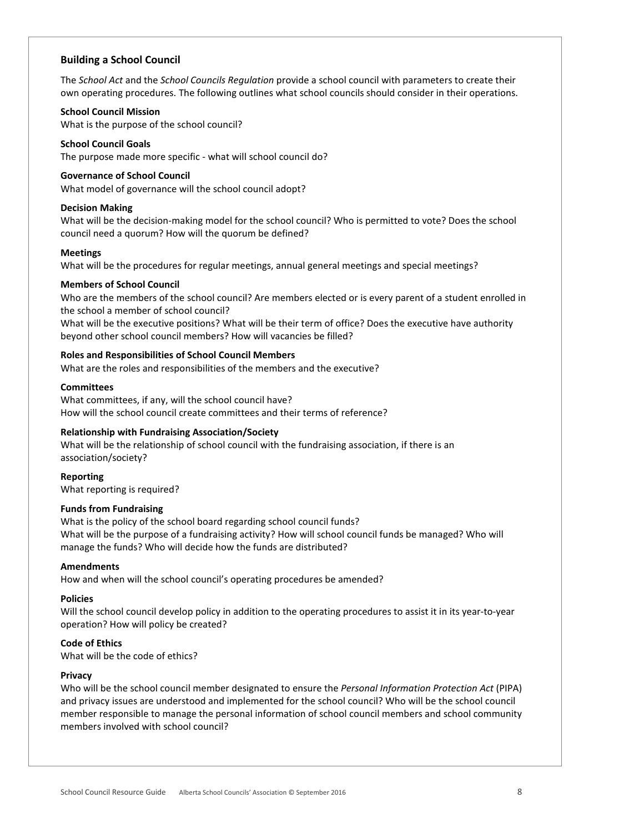# <span id="page-7-0"></span>**Building a School Council**

The *School Act* and the *School Councils Regulation* provide a school council with parameters to create their own operating procedures. The following outlines what school councils should consider in their operations.

#### **School Council Mission**

What is the purpose of the school council?

## **School Council Goals**

The purpose made more specific - what will school council do?

#### **Governance of School Council**

What model of governance will the school council adopt?

#### **Decision Making**

What will be the decision-making model for the school council? Who is permitted to vote? Does the school council need a quorum? How will the quorum be defined?

#### **Meetings**

What will be the procedures for regular meetings, annual general meetings and special meetings?

## **Members of School Council**

Who are the members of the school council? Are members elected or is every parent of a student enrolled in the school a member of school council?

What will be the executive positions? What will be their term of office? Does the executive have authority beyond other school council members? How will vacancies be filled?

## **Roles and Responsibilities of School Council Members**

What are the roles and responsibilities of the members and the executive?

## **Committees**

What committees, if any, will the school council have? How will the school council create committees and their terms of reference?

## **Relationship with Fundraising Association/Society**

What will be the relationship of school council with the fundraising association, if there is an association/society?

**Reporting**  What reporting is required?

## **Funds from Fundraising**

What is the policy of the school board regarding school council funds? What will be the purpose of a fundraising activity? How will school council funds be managed? Who will manage the funds? Who will decide how the funds are distributed?

## **Amendments**

How and when will the school council's operating procedures be amended?

## **Policies**

Will the school council develop policy in addition to the operating procedures to assist it in its year-to-year operation? How will policy be created?

## **Code of Ethics**

What will be the code of ethics?

## **Privacy**

Who will be the school council member designated to ensure the *Personal Information Protection Act* (PIPA) and privacy issues are understood and implemented for the school council? Who will be the school council member responsible to manage the personal information of school council members and school community members involved with school council?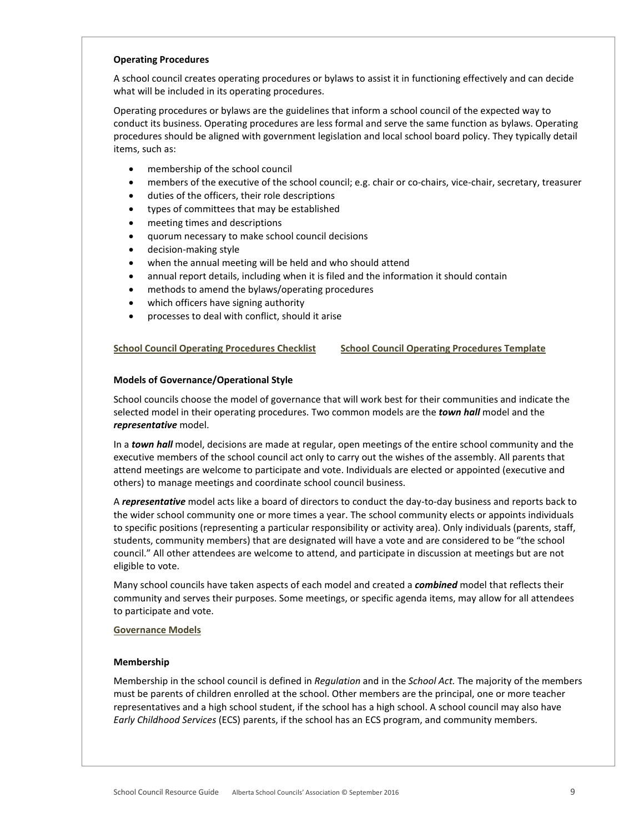#### <span id="page-8-0"></span>**Operating Procedures**

A school council creates operating procedures or bylaws to assist it in functioning effectively and can decide what will be included in its operating procedures.

Operating procedures or bylaws are the guidelines that inform a school council of the expected way to conduct its business. Operating procedures are less formal and serve the same function as bylaws. Operating procedures should be aligned with government legislation and local school board policy. They typically detail items, such as:

- membership of the school council
- members of the executive of the school council; e.g. chair or co-chairs, vice-chair, secretary, treasurer
- duties of the officers, their role descriptions
- types of committees that may be established
- meeting times and descriptions
- quorum necessary to make school council decisions
- decision-making style
- when the annual meeting will be held and who should attend
- annual report details, including when it is filed and the information it should contain
- methods to amend the bylaws/operating procedures
- which officers have signing authority
- processes to deal with conflict, should it arise

## **[School Council Operating Procedures Checklist](http://www.albertaschoolcouncils.ca/resource/resmgr/SCR_GUIDE/SC_OP_Checklist.doc) [School Council Operating Procedures Template](http://www.albertaschoolcouncils.ca/resource/resmgr/SCR_GUIDE/SC_Operating_Procedures_Temp.doc)**

## <span id="page-8-1"></span>**Models of Governance/Operational Style**

School councils choose the model of governance that will work best for their communities and indicate the selected model in their operating procedures. Two common models are the *town hall* model and the *representative* model.

In a *town hall* model, decisions are made at regular, open meetings of the entire school community and the executive members of the school council act only to carry out the wishes of the assembly. All parents that attend meetings are welcome to participate and vote. Individuals are elected or appointed (executive and others) to manage meetings and coordinate school council business.

A *representative* model acts like a board of directors to conduct the day-to-day business and reports back to the wider school community one or more times a year. The school community elects or appoints individuals to specific positions (representing a particular responsibility or activity area). Only individuals (parents, staff, students, community members) that are designated will have a vote and are considered to be "the school council." All other attendees are welcome to attend, and participate in discussion at meetings but are not eligible to vote.

Many school councils have taken aspects of each model and created a *combined* model that reflects their community and serves their purposes. Some meetings, or specific agenda items, may allow for all attendees to participate and vote.

## **[Governance Models](http://www.albertaschoolcouncils.ca/resource/resmgr/SCR_GUIDE/Governance_Models.doc)**

## <span id="page-8-2"></span>**Membership**

Membership in the school council is defined in *Regulation* and in the *School Act.* The majority of the members must be parents of children enrolled at the school. Other members are the principal, one or more teacher representatives and a high school student, if the school has a high school. A school council may also have *Early Childhood Services* (ECS) parents, if the school has an ECS program, and community members.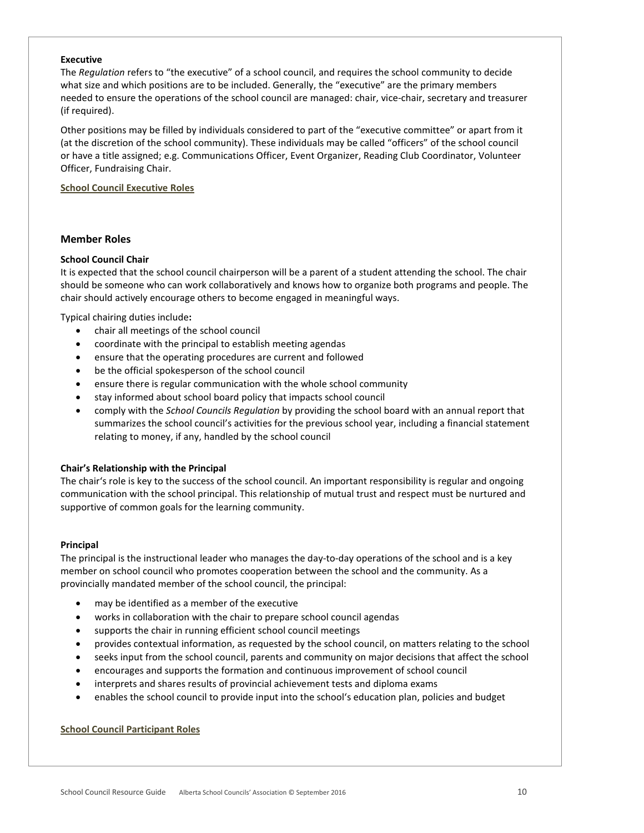## **Executive**

The *Regulation* refers to "the executive" of a school council, and requires the school community to decide what size and which positions are to be included. Generally, the "executive" are the primary members needed to ensure the operations of the school council are managed: chair, vice-chair, secretary and treasurer (if required).

Other positions may be filled by individuals considered to part of the "executive committee" or apart from it (at the discretion of the school community). These individuals may be called "officers" of the school council or have a title assigned; e.g. Communications Officer, Event Organizer, Reading Club Coordinator, Volunteer Officer, Fundraising Chair.

# **[School Council Executive Roles](http://www.albertaschoolcouncils.ca/resource/resmgr/SCR_GUIDE/SC_Executive_Roles.doc)**

# <span id="page-9-0"></span>**Member Roles**

# **School Council Chair**

It is expected that the school council chairperson will be a parent of a student attending the school. The chair should be someone who can work collaboratively and knows how to organize both programs and people. The chair should actively encourage others to become engaged in meaningful ways.

Typical chairing duties include**:**

- chair all meetings of the school council
- coordinate with the principal to establish meeting agendas
- ensure that the operating procedures are current and followed
- be the official spokesperson of the school council
- ensure there is regular communication with the whole school community
- stay informed about school board policy that impacts school council
- comply with the *School Councils Regulation* by providing the school board with an annual report that summarizes the school council's activities for the previous school year, including a financial statement relating to money, if any, handled by the school council

## **Chair's Relationship with the Principal**

The chair's role is key to the success of the school council. An important responsibility is regular and ongoing communication with the school principal. This relationship of mutual trust and respect must be nurtured and supportive of common goals for the learning community.

## **Principal**

The principal is the instructional leader who manages the day-to-day operations of the school and is a key member on school council who promotes cooperation between the school and the community. As a provincially mandated member of the school council, the principal:

- may be identified as a member of the executive
- works in collaboration with the chair to prepare school council agendas
- supports the chair in running efficient school council meetings
- provides contextual information, as requested by the school council, on matters relating to the school
- seeks input from the school council, parents and community on major decisions that affect the school
- encourages and supports the formation and continuous improvement of school council
- interprets and shares results of provincial achievement tests and diploma exams
- enables the school council to provide input into the school's education plan, policies and budget

## **[School Council Participant Roles](http://www.albertaschoolcouncils.ca/resource/resmgr/SCR_GUIDE/SC_Participant_Roles.doc)**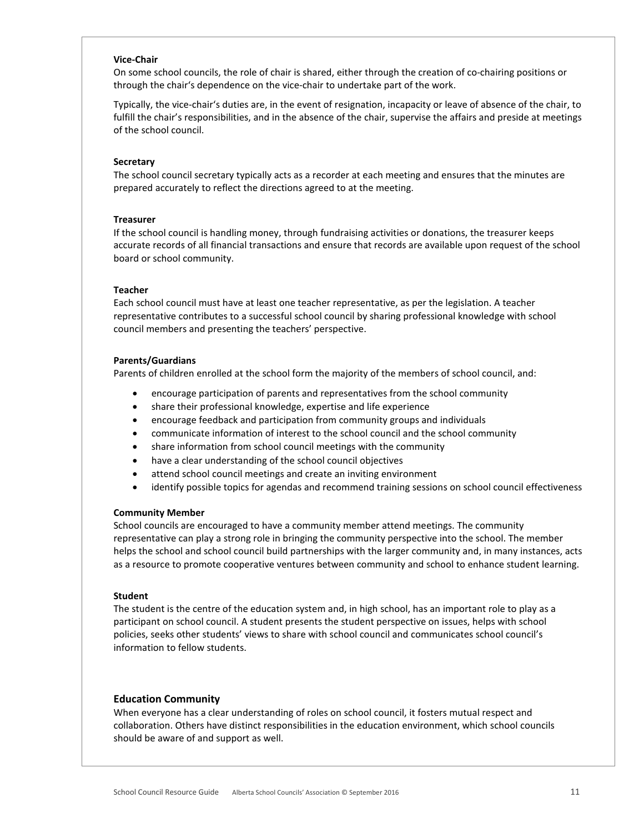#### **Vice-Chair**

On some school councils, the role of chair is shared, either through the creation of co-chairing positions or through the chair's dependence on the vice-chair to undertake part of the work.

Typically, the vice-chair's duties are, in the event of resignation, incapacity or leave of absence of the chair, to fulfill the chair's responsibilities, and in the absence of the chair, supervise the affairs and preside at meetings of the school council.

#### **Secretary**

The school council secretary typically acts as a recorder at each meeting and ensures that the minutes are prepared accurately to reflect the directions agreed to at the meeting.

#### **Treasurer**

If the school council is handling money, through fundraising activities or donations, the treasurer keeps accurate records of all financial transactions and ensure that records are available upon request of the school board or school community.

#### **Teacher**

Each school council must have at least one teacher representative, as per the legislation. A teacher representative contributes to a successful school council by sharing professional knowledge with school council members and presenting the teachers' perspective.

## **Parents/Guardians**

Parents of children enrolled at the school form the majority of the members of school council, and:

- encourage participation of parents and representatives from the school community
- share their professional knowledge, expertise and life experience
- encourage feedback and participation from community groups and individuals
- communicate information of interest to the school council and the school community
- share information from school council meetings with the community
- have a clear understanding of the school council objectives
- attend school council meetings and create an inviting environment
- identify possible topics for agendas and recommend training sessions on school council effectiveness

#### **Community Member**

School councils are encouraged to have a community member attend meetings. The community representative can play a strong role in bringing the community perspective into the school. The member helps the school and school council build partnerships with the larger community and, in many instances, acts as a resource to promote cooperative ventures between community and school to enhance student learning.

#### **Student**

The student is the centre of the education system and, in high school, has an important role to play as a participant on school council. A student presents the student perspective on issues, helps with school policies, seeks other students' views to share with school council and communicates school council's information to fellow students.

## **Education Community**

When everyone has a clear understanding of roles on school council, it fosters mutual respect and collaboration. Others have distinct responsibilities in the education environment, which school councils should be aware of and support as well.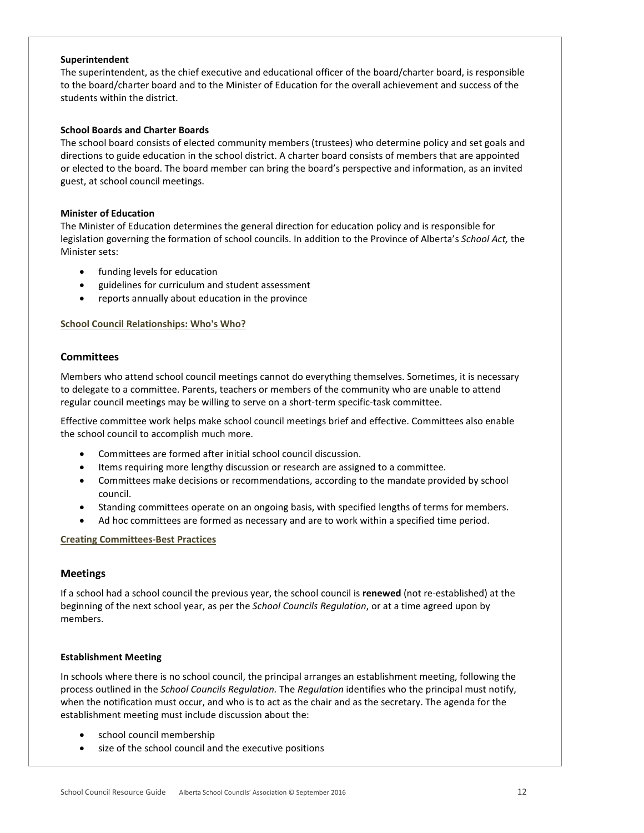## **Superintendent**

The superintendent, as the chief executive and educational officer of the board/charter board, is responsible to the board/charter board and to the Minister of Education for the overall achievement and success of the students within the district.

## **School Boards and Charter Boards**

The school board consists of elected community members (trustees) who determine policy and set goals and directions to guide education in the school district. A charter board consists of members that are appointed or elected to the board. The board member can bring the board's perspective and information, as an invited guest, at school council meetings.

## **Minister of Education**

The Minister of Education determines the general direction for education policy and is responsible for legislation governing the formation of school councils. In addition to the Province of Alberta's *School Act,* the Minister sets:

- funding levels for education
- guidelines for curriculum and student assessment
- reports annually about education in the province

## **[School Council Relationships: Who's Who?](http://www.albertaschoolcouncils.ca/resource/resmgr/SCR_GUIDE/SC_Internal_Relationships_Wh.doc)**

# <span id="page-11-0"></span>**Committees**

Members who attend school council meetings cannot do everything themselves. Sometimes, it is necessary to delegate to a committee. Parents, teachers or members of the community who are unable to attend regular council meetings may be willing to serve on a short-term specific-task committee.

Effective committee work helps make school council meetings brief and effective. Committees also enable the school council to accomplish much more.

- Committees are formed after initial school council discussion.
- Items requiring more lengthy discussion or research are assigned to a committee.
- Committees make decisions or recommendations, according to the mandate provided by school council.
- Standing committees operate on an ongoing basis, with specified lengths of terms for members.
- Ad hoc committees are formed as necessary and are to work within a specified time period.

## **[Creating Committees-Best Practices](http://www.albertaschoolcouncils.ca/resource/resmgr/SCR_GUIDE/Creating_Committees_-_Best_P.doc)**

# <span id="page-11-1"></span>**Meetings**

If a school had a school council the previous year, the school council is **renewed** (not re-established) at the beginning of the next school year, as per the *School Councils Regulation*, or at a time agreed upon by members.

## <span id="page-11-2"></span>**Establishment Meeting**

In schools where there is no school council, the principal arranges an establishment meeting, following the process outlined in the *School Councils Regulation.* The *Regulation* identifies who the principal must notify, when the notification must occur, and who is to act as the chair and as the secretary. The agenda for the establishment meeting must include discussion about the:

- school council membership
- size of the school council and the executive positions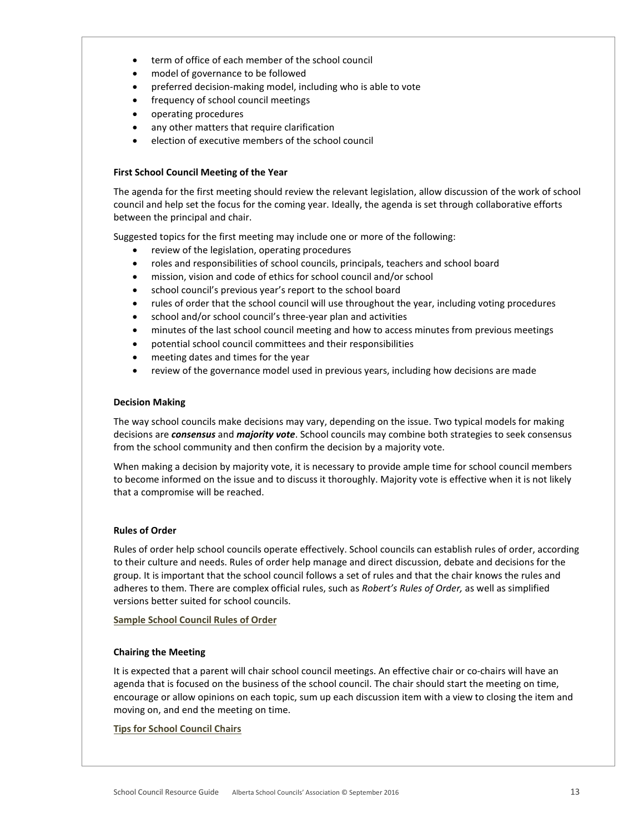- term of office of each member of the school council
- model of governance to be followed
- preferred decision-making model, including who is able to vote
- frequency of school council meetings
- operating procedures
- any other matters that require clarification
- election of executive members of the school council

# <span id="page-12-0"></span>**First School Council Meeting of the Year**

The agenda for the first meeting should review the relevant legislation, allow discussion of the work of school council and help set the focus for the coming year. Ideally, the agenda is set through collaborative efforts between the principal and chair.

Suggested topics for the first meeting may include one or more of the following:

- review of the legislation, operating procedures
- roles and responsibilities of school councils, principals, teachers and school board
- mission, vision and code of ethics for school council and/or school
- school council's previous year's report to the school board
- rules of order that the school council will use throughout the year, including voting procedures
- school and/or school council's three-year plan and activities
- minutes of the last school council meeting and how to access minutes from previous meetings
- potential school council committees and their responsibilities
- meeting dates and times for the year
- review of the governance model used in previous years, including how decisions are made

## <span id="page-12-1"></span>**Decision Making**

The way school councils make decisions may vary, depending on the issue. Two typical models for making decisions are *consensus* and *majority vote*. School councils may combine both strategies to seek consensus from the school community and then confirm the decision by a majority vote.

<span id="page-12-2"></span>When making a decision by majority vote, it is necessary to provide ample time for school council members to become informed on the issue and to discuss it thoroughly. Majority vote is effective when it is not likely that a compromise will be reached.

# **Rules of Order**

Rules of order help school councils operate effectively. School councils can establish rules of order, according to their culture and needs. Rules of order help manage and direct discussion, debate and decisions for the group. It is important that the school council follows a set of rules and that the chair knows the rules and adheres to them. There are complex official rules, such as *Robert's Rules of Order,* as well as simplified versions better suited for school councils.

**[Sample School Council Rules of Order](http://www.albertaschoolcouncils.ca/resource/resmgr/SCR_GUIDE/Sample_SC_Rules_of_Order.doc)**

# <span id="page-12-3"></span>**Chairing the Meeting**

It is expected that a parent will chair school council meetings. An effective chair or co-chairs will have an agenda that is focused on the business of the school council. The chair should start the meeting on time, encourage or allow opinions on each topic, sum up each discussion item with a view to closing the item and moving on, and end the meeting on time.

## **[Tips for School Council Chairs](http://www.albertaschoolcouncils.ca/resource/resmgr/SCR_GUIDE/Tips_for_SC_Chairs.doc)**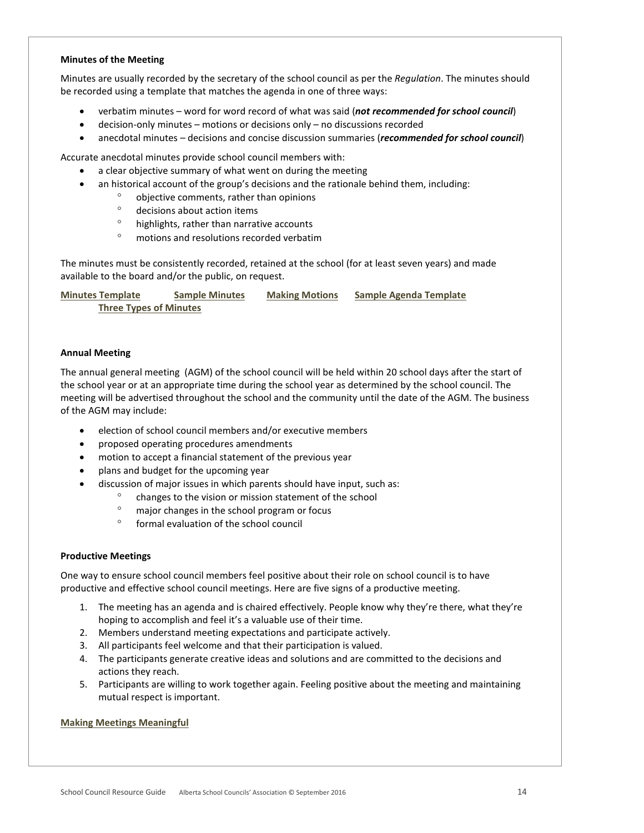## <span id="page-13-0"></span>**Minutes of the Meeting**

Minutes are usually recorded by the secretary of the school council as per the *Regulation*. The minutes should be recorded using a template that matches the agenda in one of three ways:

- verbatim minutes word for word record of what was said (*not recommended for school council*)
- decision-only minutes motions or decisions only no discussions recorded
- anecdotal minutes decisions and concise discussion summaries (*recommended for school council*)

Accurate anecdotal minutes provide school council members with:

- a clear objective summary of what went on during the meeting
- an historical account of the group's decisions and the rationale behind them, including:
	- ° objective comments, rather than opinions
	- ° decisions about action items
	- ° highlights, rather than narrative accounts
	- ° motions and resolutions recorded verbatim

The minutes must be consistently recorded, retained at the school (for at least seven years) and made available to the board and/or the public, on request.

**[Minutes Template](http://www.albertaschoolcouncils.ca/resource/resmgr/SCR_GUIDE/Minutes_Template.doc) [Sample Minutes](http://www.albertaschoolcouncils.ca/resource/resmgr/SCR_GUIDE/Sample_Minutes.doc) [Making Motions](http://www.albertaschoolcouncils.ca/resource/resmgr/SCR_GUIDE/Making_Motions.doc) [Sample Agenda Template](http://www.albertaschoolcouncils.ca/resource/resmgr/SCR_GUIDE/Sample_Agenda_Template.doc) [Three Types of Minutes](http://www.albertaschoolcouncils.ca/resource/resmgr/SCR_GUIDE/Three_Types_of_Minutes.docx)**

## <span id="page-13-1"></span>**Annual Meeting**

The annual general meeting (AGM) of the school council will be held within 20 school days after the start of the school year or at an appropriate time during the school year as determined by the school council. The meeting will be advertised throughout the school and the community until the date of the AGM. The business of the AGM may include:

- election of school council members and/or executive members
- proposed operating procedures amendments
- motion to accept a financial statement of the previous year
- plans and budget for the upcoming year
- discussion of major issues in which parents should have input, such as:
	- ° changes to the vision or mission statement of the school
	- ° major changes in the school program or focus
	- formal evaluation of the school council

## <span id="page-13-2"></span>**Productive Meetings**

One way to ensure school council members feel positive about their role on school council is to have productive and effective school council meetings. Here are five signs of a productive meeting.

- 1. The meeting has an agenda and is chaired effectively. People know why they're there, what they're hoping to accomplish and feel it's a valuable use of their time.
- 2. Members understand meeting expectations and participate actively.
- 3. All participants feel welcome and that their participation is valued.
- 4. The participants generate creative ideas and solutions and are committed to the decisions and actions they reach.
- 5. Participants are willing to work together again. Feeling positive about the meeting and maintaining mutual respect is important.

## **[Making Meetings Meaningful](http://www.albertaschoolcouncils.ca/resource/resmgr/SCR_GUIDE/Making_Meetings_Meaningful.doc)**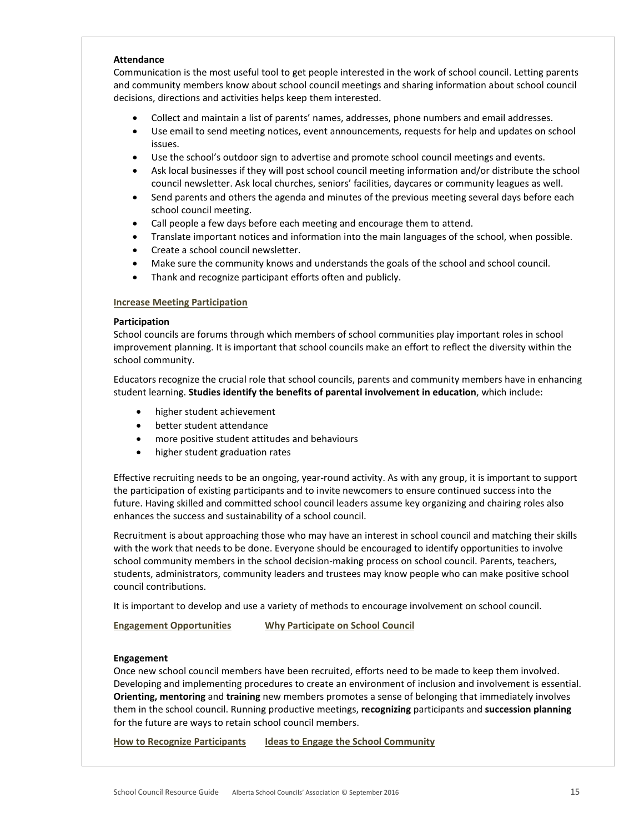#### **Attendance**

Communication is the most useful tool to get people interested in the work of school council. Letting parents and community members know about school council meetings and sharing information about school council decisions, directions and activities helps keep them interested.

- Collect and maintain a list of parents' names, addresses, phone numbers and email addresses.
- Use email to send meeting notices, event announcements, requests for help and updates on school issues.
- Use the school's outdoor sign to advertise and promote school council meetings and events.
- Ask local businesses if they will post school council meeting information and/or distribute the school council newsletter. Ask local churches, seniors' facilities, daycares or community leagues as well.
- Send parents and others the agenda and minutes of the previous meeting several days before each school council meeting.
- Call people a few days before each meeting and encourage them to attend.
- Translate important notices and information into the main languages of the school, when possible.
- Create a school council newsletter.
- Make sure the community knows and understands the goals of the school and school council.
- Thank and recognize participant efforts often and publicly.

## **[Increase Meeting Participation](http://www.albertaschoolcouncils.ca/resource/resmgr/SCR_GUIDE/Increase_Meeting_Participati.doc)**

## **Participation**

School councils are forums through which members of school communities play important roles in school improvement planning. It is important that school councils make an effort to reflect the diversity within the school community.

Educators recognize the crucial role that school councils, parents and community members have in enhancing student learning. **Studies identify the benefits of parental involvement in education**, which include:

- higher student achievement
- better student attendance
- more positive student attitudes and behaviours
- higher student graduation rates

Effective recruiting needs to be an ongoing, year-round activity. As with any group, it is important to support the participation of existing participants and to invite newcomers to ensure continued success into the future. Having skilled and committed school council leaders assume key organizing and chairing roles also enhances the success and sustainability of a school council.

Recruitment is about approaching those who may have an interest in school council and matching their skills with the work that needs to be done. Everyone should be encouraged to identify opportunities to involve school community members in the school decision-making process on school council. Parents, teachers, students, administrators, community leaders and trustees may know people who can make positive school council contributions.

It is important to develop and use a variety of methods to encourage involvement on school council.

**[Engagement Opportunities](http://www.albertaschoolcouncils.ca/resource/resmgr/SCR_GUIDE/Engagement_Opportunities.doc) [Why Participate on School Council](http://www.albertaschoolcouncils.ca/resource/resmgr/SCR_GUIDE/Why_Participate_on_SC_.doc)**

## **Engagement**

Once new school council members have been recruited, efforts need to be made to keep them involved. Developing and implementing procedures to create an environment of inclusion and involvement is essential. **Orienting, mentoring** and **training** new members promotes a sense of belonging that immediately involves them in the school council. Running productive meetings, **recognizing** participants and **succession planning** for the future are ways to retain school council members.

**[How to Recognize Participants](http://www.albertaschoolcouncils.ca/resource/resmgr/SCR_GUIDE/How_to_Recognize_Participant.doc) [Ideas to Engage the School Community](http://www.albertaschoolcouncils.ca/resource/resmgr/SCR_GUIDE/Ideas_to_Engage_the_School_C.doc)**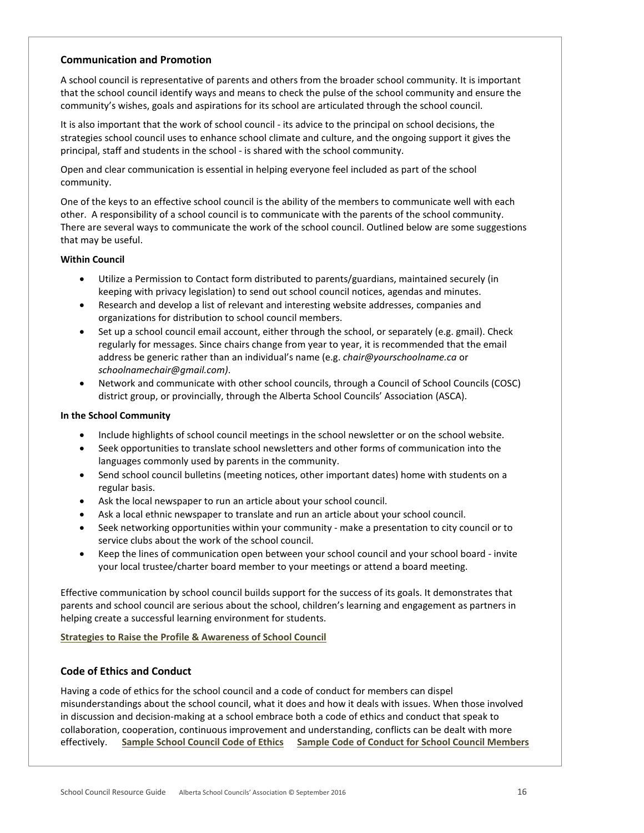# <span id="page-15-0"></span>**Communication and Promotion**

A school council is representative of parents and others from the broader school community. It is important that the school council identify ways and means to check the pulse of the school community and ensure the community's wishes, goals and aspirations for its school are articulated through the school council.

It is also important that the work of school council - its advice to the principal on school decisions, the strategies school council uses to enhance school climate and culture, and the ongoing support it gives the principal, staff and students in the school - is shared with the school community.

Open and clear communication is essential in helping everyone feel included as part of the school community.

One of the keys to an effective school council is the ability of the members to communicate well with each other. A responsibility of a school council is to communicate with the parents of the school community. There are several ways to communicate the work of the school council. Outlined below are some suggestions that may be useful.

## **Within Council**

- Utilize a Permission to Contact form distributed to parents/guardians, maintained securely (in keeping with privacy legislation) to send out school council notices, agendas and minutes.
- Research and develop a list of relevant and interesting website addresses, companies and organizations for distribution to school council members.
- Set up a school council email account, either through the school, or separately (e.g. gmail). Check regularly for messages. Since chairs change from year to year, it is recommended that the email address be generic rather than an individual's name (e.g. *chair@yourschoolname.ca* or *schoolnamechair@gmail.com)*.
- Network and communicate with other school councils, through a Council of School Councils (COSC) district group, or provincially, through the Alberta School Councils' Association (ASCA).

## **In the School Community**

- Include highlights of school council meetings in the school newsletter or on the school website.
- Seek opportunities to translate school newsletters and other forms of communication into the languages commonly used by parents in the community.
- Send school council bulletins (meeting notices, other important dates) home with students on a regular basis.
- Ask the local newspaper to run an article about your school council.
- Ask a local ethnic newspaper to translate and run an article about your school council.
- Seek networking opportunities within your community make a presentation to city council or to service clubs about the work of the school council.
- Keep the lines of communication open between your school council and your school board invite your local trustee/charter board member to your meetings or attend a board meeting.

Effective communication by school council builds support for the success of its goals. It demonstrates that parents and school council are serious about the school, children's learning and engagement as partners in helping create a successful learning environment for students.

**[Strategies to Raise the Profile & Awareness of School Council](http://www.albertaschoolcouncils.ca/resource/resmgr/SCR_GUIDE/Strategies_to_Raise_the_Prof.doc)**

# <span id="page-15-1"></span>**Code of Ethics and Conduct**

Having a code of ethics for the school council and a code of conduct for members can dispel misunderstandings about the school council, what it does and how it deals with issues. When those involved in discussion and decision-making at a school embrace both a code of ethics and conduct that speak to collaboration, cooperation, continuous improvement and understanding, conflicts can be dealt with more effectively. **[Sample School Council Code of Ethics](http://www.albertaschoolcouncils.ca/resource/resmgr/SCR_GUIDE/Sample_SC_Code_of_Ethics.doc) [Sample Code of Conduct for School Council Members](http://www.albertaschoolcouncils.ca/resource/resmgr/SCR_GUIDE/Sample_Code_of_Conduct_for_S.doc)**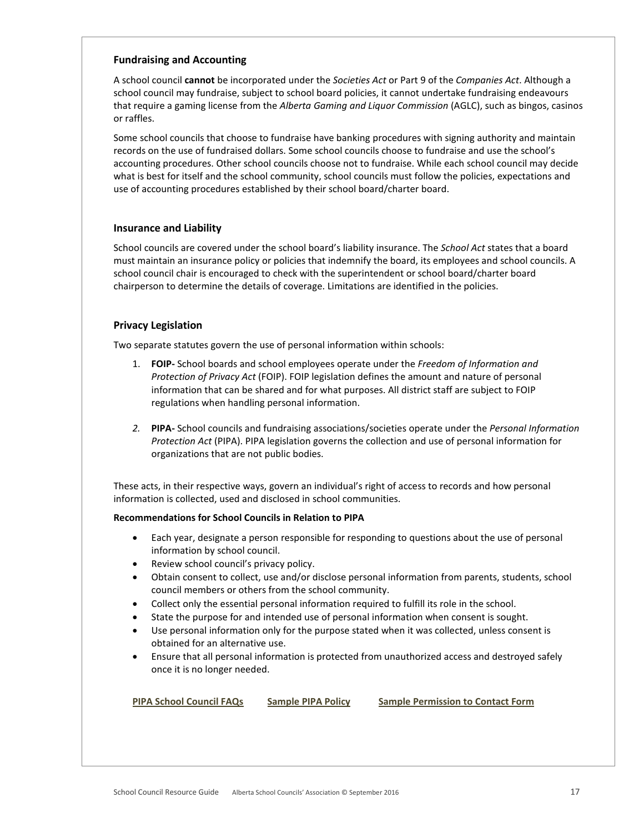# <span id="page-16-0"></span>**Fundraising and Accounting**

A school council **cannot** be incorporated under the *Societies Act* or Part 9 of the *Companies Act*. Although a school council may fundraise, subject to school board policies, it cannot undertake fundraising endeavours that require a gaming license from the *Alberta Gaming and Liquor Commission* (AGLC), such as bingos, casinos or raffles.

Some school councils that choose to fundraise have banking procedures with signing authority and maintain records on the use of fundraised dollars. Some school councils choose to fundraise and use the school's accounting procedures. Other school councils choose not to fundraise. While each school council may decide what is best for itself and the school community, school councils must follow the policies, expectations and use of accounting procedures established by their school board/charter board.

# <span id="page-16-1"></span>**Insurance and Liability**

School councils are covered under the school board's liability insurance. The *School Act* states that a board must maintain an insurance policy or policies that indemnify the board, its employees and school councils. A school council chair is encouraged to check with the superintendent or school board/charter board chairperson to determine the details of coverage. Limitations are identified in the policies.

# <span id="page-16-2"></span>**Privacy Legislation**

Two separate statutes govern the use of personal information within schools:

- 1. **FOIP-** School boards and school employees operate under the *Freedom of Information and Protection of Privacy Act* (FOIP). FOIP legislation defines the amount and nature of personal information that can be shared and for what purposes. All district staff are subject to FOIP regulations when handling personal information.
- *2.* **PIPA-** School councils and fundraising associations/societies operate under the *Personal Information Protection Act* (PIPA). PIPA legislation governs the collection and use of personal information for organizations that are not public bodies.

These acts, in their respective ways, govern an individual's right of access to records and how personal information is collected, used and disclosed in school communities.

# **Recommendations for School Councils in Relation to PIPA**

- Each year, designate a person responsible for responding to questions about the use of personal information by school council.
- Review school council's privacy policy.
- Obtain consent to collect, use and/or disclose personal information from parents, students, school council members or others from the school community.
- Collect only the essential personal information required to fulfill its role in the school.
- State the purpose for and intended use of personal information when consent is sought.
- Use personal information only for the purpose stated when it was collected, unless consent is obtained for an alternative use.
- Ensure that all personal information is protected from unauthorized access and destroyed safely once it is no longer needed.

| <b>PIPA School Council FAQs</b> | <b>Sample PIPA Policy</b> | <b>Sample Permission to Contact Form</b> |
|---------------------------------|---------------------------|------------------------------------------|
|                                 |                           |                                          |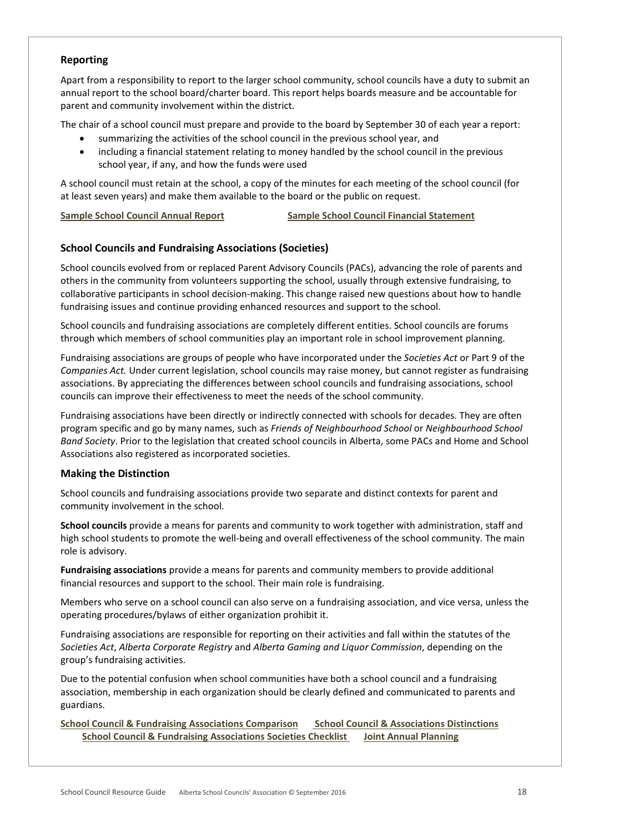# <span id="page-17-0"></span>**Reporting**

Apart from a responsibility to report to the larger school community, school councils have a duty to submit an annual report to the school board/charter board. This report helps boards measure and be accountable for parent and community involvement within the district.

The chair of a school council must prepare and provide to the board by September 30 of each year a report:

- summarizing the activities of the school council in the previous school year, and
- including a financial statement relating to money handled by the school council in the previous school year, if any, and how the funds were used

A school council must retain at the school, a copy of the minutes for each meeting of the school council (for at least seven years) and make them available to the board or the public on request.

**[Sample School Council Annual Report](http://www.albertaschoolcouncils.ca/resource/resmgr/SCR_GUIDE/Sample_SC_Annual_Report.doc) [Sample School Council Financial Statement](http://www.albertaschoolcouncils.ca/resource/resmgr/SCR_GUIDE/Sample_SC_Financial_Statemen.doc)**

# <span id="page-17-1"></span>**School Councils and Fundraising Associations (Societies)**

School councils evolved from or replaced Parent Advisory Councils (PACs), advancing the role of parents and others in the community from volunteers supporting the school, usually through extensive fundraising, to collaborative participants in school decision-making. This change raised new questions about how to handle fundraising issues and continue providing enhanced resources and support to the school.

School councils and fundraising associations are completely different entities. School councils are forums through which members of school communities play an important role in school improvement planning.

Fundraising associations are groups of people who have incorporated under the *Societies Act* or Part 9 of the *Companies Act.* Under current legislation, school councils may raise money, but cannot register as fundraising associations. By appreciating the differences between school councils and fundraising associations, school councils can improve their effectiveness to meet the needs of the school community.

Fundraising associations have been directly or indirectly connected with schools for decades. They are often program specific and go by many names, such as *Friends of Neighbourhood School* or *Neighbourhood School Band Society*. Prior to the legislation that created school councils in Alberta, some PACs and Home and School Associations also registered as incorporated societies.

# **Making the Distinction**

School councils and fundraising associations provide two separate and distinct contexts for parent and community involvement in the school.

**School councils** provide a means for parents and community to work together with administration, staff and high school students to promote the well-being and overall effectiveness of the school community. The main role is advisory.

**Fundraising associations** provide a means for parents and community members to provide additional financial resources and support to the school. Their main role is fundraising.

Members who serve on a school council can also serve on a fundraising association, and vice versa, unless the operating procedures/bylaws of either organization prohibit it.

Fundraising associations are responsible for reporting on their activities and fall within the statutes of the *Societies Act*, *Alberta Corporate Registry* and *Alberta Gaming and Liquor Commission*, depending on the group's fundraising activities.

Due to the potential confusion when school communities have both a school council and a fundraising association, membership in each organization should be clearly defined and communicated to parents and guardians.

**[School Council & Fundraising Associations Comparison](http://www.albertaschoolcouncils.ca/resource/resmgr/SCR_GUIDE/SC_&_FRA_Comparison.doc) [School Council & Associations Distinctions](http://www.albertaschoolcouncils.ca/resource/resmgr/SCR_GUIDE/SC_&_FRA_Distinctions.pdf)  [School Council & Fundraising Associations Societies Checklist](http://www.albertaschoolcouncils.ca/resource/resmgr/SCR_GUIDE/SC_&_FRA_Societies_Checklist.doc) [Joint Annual Planning](http://www.albertaschoolcouncils.ca/resource/resmgr/SCR_GUIDE/Joint_Annual_Planning.doc)**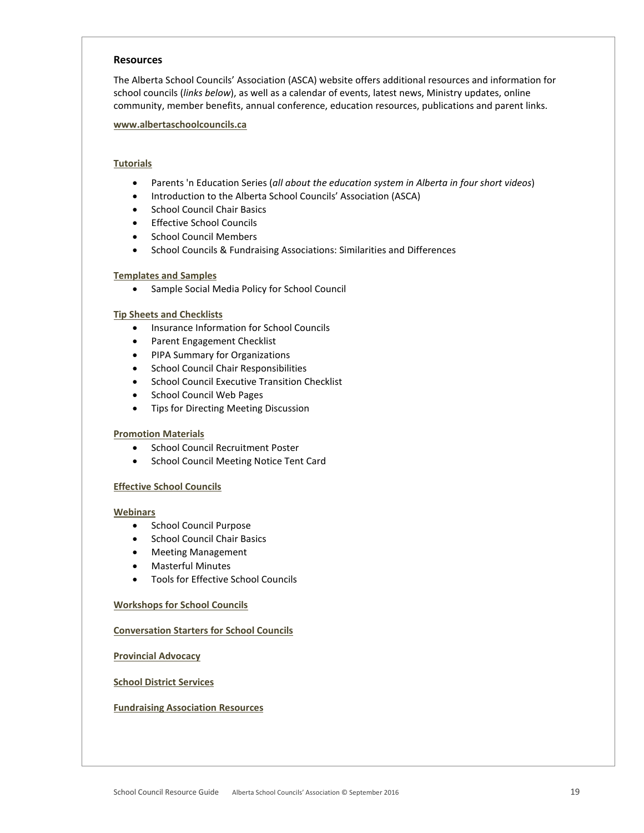#### <span id="page-18-0"></span>**Resources**

The Alberta School Councils' Association (ASCA) website offers additional resources and information for school councils (*links below*), as well as a calendar of events, latest news, Ministry updates, online community, member benefits, annual conference, education resources, publications and parent links.

#### **[www.albertaschoolcouncils.ca](http://www.albertaschoolcouncils.ca/)**

# **[Tutorials](http://www.albertaschoolcouncils.ca/?page=webcasts)**

- Parents 'n Education Series (*all about the education system in Alberta in four short videos*)
- Introduction to the Alberta School Councils' Association (ASCA)
- School Council Chair Basics
- Effective School Councils
- School Council Members
- School Councils & Fundraising Associations: Similarities and Differences

## **[Templates and Samples](http://www.albertaschoolcouncils.ca/?page=templates)**

• Sample Social Media Policy for School Council

#### **[Tip Sheets and Checklists](http://www.albertaschoolcouncils.ca/?page=TipSheets)**

- Insurance Information for School Councils
- Parent Engagement Checklist
- PIPA Summary for Organizations
- School Council Chair Responsibilities
- School Council Executive Transition Checklist
- School Council Web Pages
- Tips for Directing Meeting Discussion

#### **[Promotion Materials](http://www.albertaschoolcouncils.ca/?page=Promotion)**

- School Council Recruitment Poster
- School Council Meeting Notice Tent Card

#### **[Effective School Councils](http://www.albertaschoolcouncils.ca/?Effectiveness)**

#### **[Webinars](http://www.albertaschoolcouncils.ca/?page=webinars)**

- School Council Purpose
- School Council Chair Basics
- Meeting Management
- Masterful Minutes
- Tools for Effective School Councils

#### **[Workshops for School Councils](http://www.albertaschoolcouncils.ca/?page=SCWorkshops)**

#### **[Conversation Starters for School Councils](http://www.albertaschoolcouncils.ca/?page=MessageChairs)**

**[Provincial Advocacy](http://www.albertaschoolcouncils.ca/?page=Advocacy)**

#### **[School District Services](http://www.albertaschoolcouncils.ca/?page=districtserv)**

#### **[Fundraising Association](http://www.albertaschoolcouncils.ca/?page=FRAs) Resources**